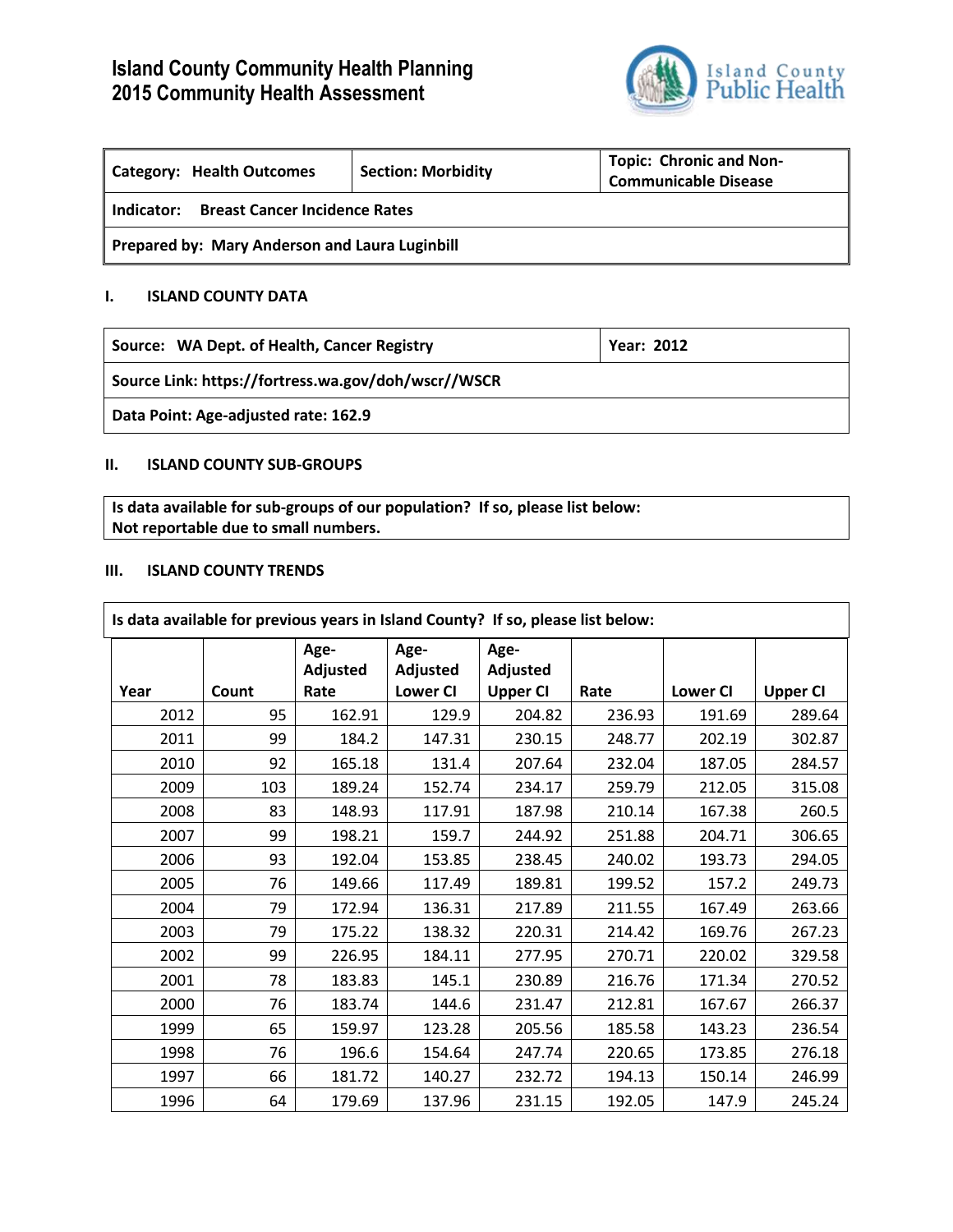# **Island County Community Health Planning 2015 Community Health Assessment**



| Category: Health Outcomes                          | <b>Section: Morbidity</b> | <b>Topic: Chronic and Non-</b><br><b>Communicable Disease</b> |  |  |  |
|----------------------------------------------------|---------------------------|---------------------------------------------------------------|--|--|--|
| <b>Breast Cancer Incidence Rates</b><br>Indicator: |                           |                                                               |  |  |  |
| Prepared by: Mary Anderson and Laura Luginbill     |                           |                                                               |  |  |  |

## **I. ISLAND COUNTY DATA**

**Source: WA Dept. of Health, Cancer Registry <b>Year: 2012** Year: 2012

**Source Link: https://fortress.wa.gov/doh/wscr//WSCR**

**Data Point: Age-adjusted rate: 162.9**

## **II. ISLAND COUNTY SUB-GROUPS**

**Is data available for sub-groups of our population? If so, please list below: Not reportable due to small numbers.**

#### **III. ISLAND COUNTY TRENDS**

| Is data available for previous years in Island County? If so, please list below: |       |          |                 |                 |        |                 |                 |
|----------------------------------------------------------------------------------|-------|----------|-----------------|-----------------|--------|-----------------|-----------------|
|                                                                                  |       | Age-     | Age-            | Age-            |        |                 |                 |
|                                                                                  |       | Adjusted | Adjusted        | Adjusted        |        |                 |                 |
| Year                                                                             | Count | Rate     | <b>Lower CI</b> | <b>Upper CI</b> | Rate   | <b>Lower CI</b> | <b>Upper CI</b> |
| 2012                                                                             | 95    | 162.91   | 129.9           | 204.82          | 236.93 | 191.69          | 289.64          |
| 2011                                                                             | 99    | 184.2    | 147.31          | 230.15          | 248.77 | 202.19          | 302.87          |
| 2010                                                                             | 92    | 165.18   | 131.4           | 207.64          | 232.04 | 187.05          | 284.57          |
| 2009                                                                             | 103   | 189.24   | 152.74          | 234.17          | 259.79 | 212.05          | 315.08          |
| 2008                                                                             | 83    | 148.93   | 117.91          | 187.98          | 210.14 | 167.38          | 260.5           |
| 2007                                                                             | 99    | 198.21   | 159.7           | 244.92          | 251.88 | 204.71          | 306.65          |
| 2006                                                                             | 93    | 192.04   | 153.85          | 238.45          | 240.02 | 193.73          | 294.05          |
| 2005                                                                             | 76    | 149.66   | 117.49          | 189.81          | 199.52 | 157.2           | 249.73          |
| 2004                                                                             | 79    | 172.94   | 136.31          | 217.89          | 211.55 | 167.49          | 263.66          |
| 2003                                                                             | 79    | 175.22   | 138.32          | 220.31          | 214.42 | 169.76          | 267.23          |
| 2002                                                                             | 99    | 226.95   | 184.11          | 277.95          | 270.71 | 220.02          | 329.58          |
| 2001                                                                             | 78    | 183.83   | 145.1           | 230.89          | 216.76 | 171.34          | 270.52          |
| 2000                                                                             | 76    | 183.74   | 144.6           | 231.47          | 212.81 | 167.67          | 266.37          |
| 1999                                                                             | 65    | 159.97   | 123.28          | 205.56          | 185.58 | 143.23          | 236.54          |
| 1998                                                                             | 76    | 196.6    | 154.64          | 247.74          | 220.65 | 173.85          | 276.18          |
| 1997                                                                             | 66    | 181.72   | 140.27          | 232.72          | 194.13 | 150.14          | 246.99          |
| 1996                                                                             | 64    | 179.69   | 137.96          | 231.15          | 192.05 | 147.9           | 245.24          |